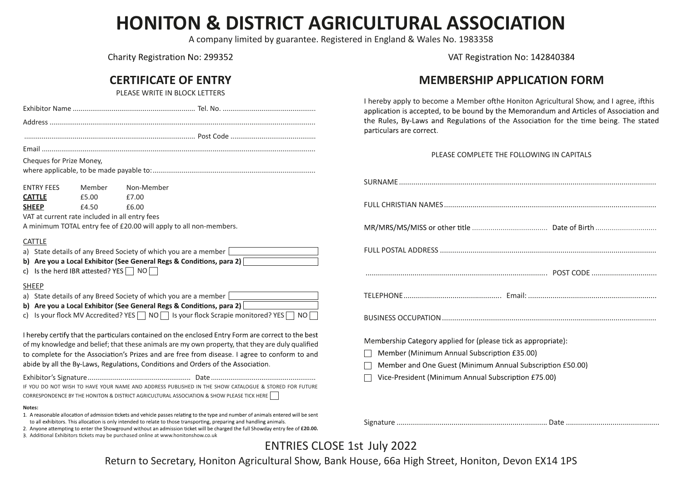## **HONITON & DISTRICT AGRICULTURAL ASSOCIATION**

A company limited by guarantee. Registered in England & Wales No. 1983358

Charity Registration No: 299352

## **CERTIFICATE OF ENTRY**

PLEASE WRITE IN BLOCK LETTERS

| Cheques for Prize Money,                                                                                                                                                              |                                                                 |                                                                                                                                                                                                                                                                                                                                                                                             |  |  |  |  |  |  |  |  |
|---------------------------------------------------------------------------------------------------------------------------------------------------------------------------------------|-----------------------------------------------------------------|---------------------------------------------------------------------------------------------------------------------------------------------------------------------------------------------------------------------------------------------------------------------------------------------------------------------------------------------------------------------------------------------|--|--|--|--|--|--|--|--|
|                                                                                                                                                                                       |                                                                 |                                                                                                                                                                                                                                                                                                                                                                                             |  |  |  |  |  |  |  |  |
| <b>ENTRY FEES</b><br><b>CATTLE</b>                                                                                                                                                    | Member<br>£5.00                                                 | Non-Member<br>£7.00                                                                                                                                                                                                                                                                                                                                                                         |  |  |  |  |  |  |  |  |
| <b>SHEEP</b>                                                                                                                                                                          | £4.50                                                           | £6.00                                                                                                                                                                                                                                                                                                                                                                                       |  |  |  |  |  |  |  |  |
|                                                                                                                                                                                       |                                                                 |                                                                                                                                                                                                                                                                                                                                                                                             |  |  |  |  |  |  |  |  |
| VAT at current rate included in all entry fees<br>A minimum TOTAL entry fee of £20.00 will apply to all non-members.                                                                  |                                                                 |                                                                                                                                                                                                                                                                                                                                                                                             |  |  |  |  |  |  |  |  |
| <b>CATTLE</b>                                                                                                                                                                         |                                                                 |                                                                                                                                                                                                                                                                                                                                                                                             |  |  |  |  |  |  |  |  |
| a) State details of any Breed Society of which you are a member<br>b) Are you a Local Exhibitor (See General Regs & Conditions, para 2)<br>c) Is the herd IBR attested? YES $\Box$ NO |                                                                 |                                                                                                                                                                                                                                                                                                                                                                                             |  |  |  |  |  |  |  |  |
| <b>SHEEP</b>                                                                                                                                                                          |                                                                 |                                                                                                                                                                                                                                                                                                                                                                                             |  |  |  |  |  |  |  |  |
|                                                                                                                                                                                       | a) State details of any Breed Society of which you are a member |                                                                                                                                                                                                                                                                                                                                                                                             |  |  |  |  |  |  |  |  |
| b) Are you a Local Exhibitor (See General Regs & Conditions, para 2)<br>Is your flock MV Accredited? YES $\Box$ NO $\Box$ Is your flock Scrapie monitored? YES $\Box$ NO<br>c)        |                                                                 |                                                                                                                                                                                                                                                                                                                                                                                             |  |  |  |  |  |  |  |  |
|                                                                                                                                                                                       |                                                                 | I hereby certify that the particulars contained on the enclosed Entry Form are correct to the best<br>of my knowledge and belief; that these animals are my own property, that they are duly qualified<br>to complete for the Association's Prizes and are free from disease. I agree to conform to and<br>abide by all the By-Laws, Regulations, Conditions and Orders of the Association. |  |  |  |  |  |  |  |  |
|                                                                                                                                                                                       |                                                                 | IF YOU DO NOT WISH TO HAVE YOUR NAME AND ADDRESS PUBLISHED IN THE SHOW CATALOGUE & STORED FOR FUTURE<br>CORRESPONDENCE BY THE HONITON & DISTRICT AGRICULTURAL ASSOCIATION & SHOW PLEASE TICK HERE                                                                                                                                                                                           |  |  |  |  |  |  |  |  |
| Notes:                                                                                                                                                                                |                                                                 |                                                                                                                                                                                                                                                                                                                                                                                             |  |  |  |  |  |  |  |  |

- 1. A reasonable allocation of admission tickets and vehicle passes relating to the type and number of animals entered will be sent to all exhibitors. This allocation is only intended to relate to those transporting, preparing and handling animals.
- 2. Anyone attempting to enter the Showground without an admission ticket will be charged the full Showday entry fee of £20.00.
- 3. Additional Exhibitors tickets may be purchased online at www.honitonshow.co.uk

VAT Registration No: 142840384

### **MEMBERSHIP APPLICATION FORM**

I hereby apply to become a Member of the Honiton Agricultural Show, and I agree, if this application is accepted, to be bound by the Memorandum and Articles of Association and the Rules, By-Laws and Regulations of the Association for the time being. The stated particulars are correct.

#### PLEASE COMPLETE THE FOLLOWING IN CAPITALS

| Membership Category applied for (please tick as appropriate): |  |  |  |  |  |  |  |  |  |  |
|---------------------------------------------------------------|--|--|--|--|--|--|--|--|--|--|
| Member (Minimum Annual Subscription £35.00)<br>$\mathbf{I}$   |  |  |  |  |  |  |  |  |  |  |
| Member and One Guest (Minimum Annual Subscription £50.00)     |  |  |  |  |  |  |  |  |  |  |
| Vice-President (Minimum Annual Subscription £75.00)           |  |  |  |  |  |  |  |  |  |  |
|                                                               |  |  |  |  |  |  |  |  |  |  |
|                                                               |  |  |  |  |  |  |  |  |  |  |

Signature .......................................................................... Date ..............................................

## ENTRIES CLOSE 1st July 2022

Return to Secretary, Honiton Agricultural Show, Bank House, 66a High Street, Honiton, Devon EX14 1PS